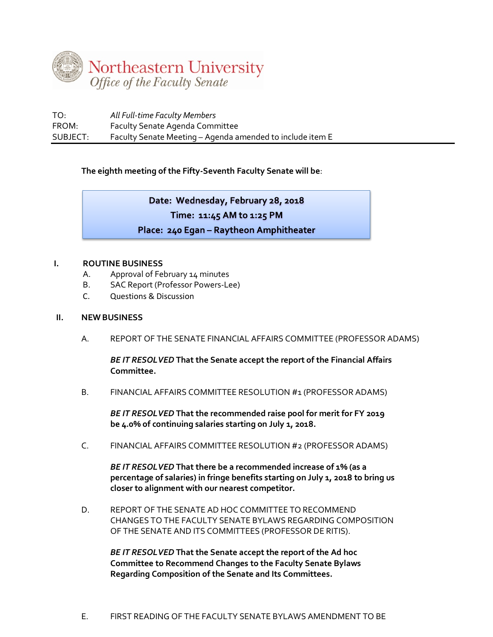

| TO:      | All Full-time Faculty Members                             |
|----------|-----------------------------------------------------------|
| FROM:    | <b>Faculty Senate Agenda Committee</b>                    |
| SUBJECT: | Faculty Senate Meeting - Agenda amended to include item E |

**The eighth meeting of the Fifty-Seventh Faculty Senate will be**:

Date: Wednesday, February 28, 2018 Time: 11:45 AM to 1:25 PM Place: 240 Egan - Raytheon Amphitheater

## **I. ROUTINE BUSINESS**

- A. Approval of February 14 minutes
- B. SAC Report (Professor Powers-Lee)
- C. Questions & Discussion

## **II. NEW BUSINESS**

A. REPORT OF THE SENATE FINANCIAL AFFAIRS COMMITTEE (PROFESSOR ADAMS)

*BE IT RESOLVED* **That the Senate accept the report of the Financial Affairs Committee.**

B. FINANCIAL AFFAIRS COMMITTEE RESOLUTION #1 (PROFESSOR ADAMS)

*BE IT RESOLVED* **That the recommended raise pool for merit for FY 2019 be 4.0% of continuing salaries starting on July 1, 2018.**

C. FINANCIAL AFFAIRS COMMITTEE RESOLUTION #2 (PROFESSOR ADAMS)

*BE IT RESOLVED* **That there be a recommended increase of 1% (as a percentage of salaries) in fringe benefits starting on July 1, 2018 to bring us closer to alignment with our nearest competitor.** 

D. REPORT OF THE SENATE AD HOC COMMITTEE TO RECOMMEND CHANGES TO THE FACULTY SENATE BYLAWS REGARDING COMPOSITION OF THE SENATE AND ITS COMMITTEES (PROFESSOR DE RITIS).

*BE IT RESOLVED* **That the Senate accept the report of the Ad hoc Committee to Recommend Changes to the Faculty Senate Bylaws Regarding Composition of the Senate and Its Committees.**